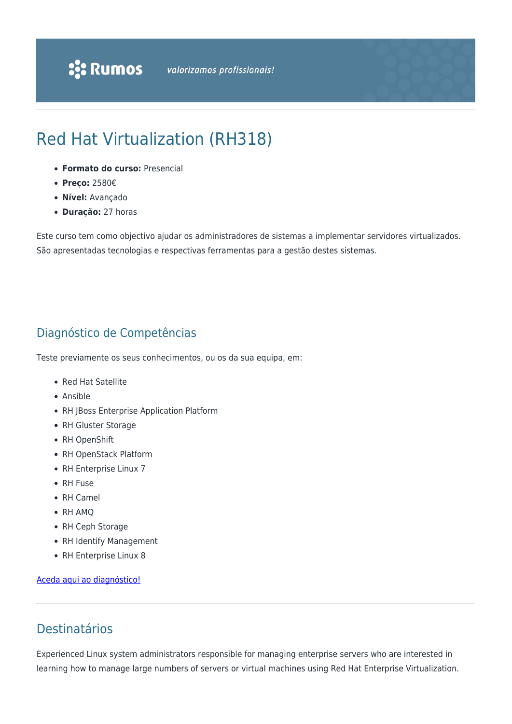# Red Hat Virtualization (RH318)

- **Formato do curso:** Presencial
- **Preço:** 2580€
- **Nível:** Avançado
- **Duração:** 27 horas

Este curso tem como objectivo ajudar os administradores de sistemas a implementar servidores virtualizados. São apresentadas tecnologias e respectivas ferramentas para a gestão destes sistemas.

### Diagnóstico de Competências

Teste previamente os seus conhecimentos, ou os da sua equipa, em:

- Red Hat Satellite
- Ansible
- RH JBoss Enterprise Application Platform
- RH Gluster Storage
- RH OpenShift
- RH OpenStack Platform
- RH Enterprise Linux 7
- RH Fuse
- RH Camel
- RH AMQ
- RH Ceph Storage
- RH Identify Management
- RH Enterprise Linux 8

#### [Aceda aqui ao diagnóstico!](https://www.redhat.com/rhtapps/assessment/?partner=rumos)

### Destinatários

Experienced Linux system administrators responsible for managing enterprise servers who are interested in learning how to manage large numbers of servers or virtual machines using Red Hat Enterprise Virtualization.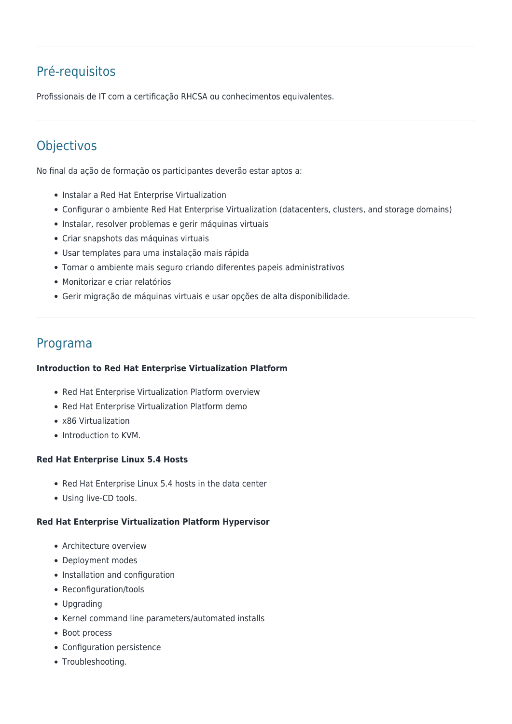# Pré-requisitos

Profissionais de IT com a certificação RHCSA ou conhecimentos equivalentes.

## **Objectivos**

No final da ação de formação os participantes deverão estar aptos a:

- Instalar a Red Hat Enterprise Virtualization
- Configurar o ambiente Red Hat Enterprise Virtualization (datacenters, clusters, and storage domains)
- Instalar, resolver problemas e gerir máquinas virtuais
- Criar snapshots das máquinas virtuais
- Usar templates para uma instalação mais rápida
- Tornar o ambiente mais seguro criando diferentes papeis administrativos
- Monitorizar e criar relatórios
- Gerir migração de máquinas virtuais e usar opções de alta disponibilidade.

### Programa

#### **Introduction to Red Hat Enterprise Virtualization Platform**

- Red Hat Enterprise Virtualization Platform overview
- Red Hat Enterprise Virtualization Platform demo
- x86 Virtualization
- Introduction to KVM.

#### **Red Hat Enterprise Linux 5.4 Hosts**

- Red Hat Enterprise Linux 5.4 hosts in the data center
- Using live-CD tools.

#### **Red Hat Enterprise Virtualization Platform Hypervisor**

- Architecture overview
- Deployment modes
- Installation and configuration
- Reconfiguration/tools
- Upgrading
- Kernel command line parameters/automated installs
- Boot process
- Configuration persistence
- Troubleshooting.